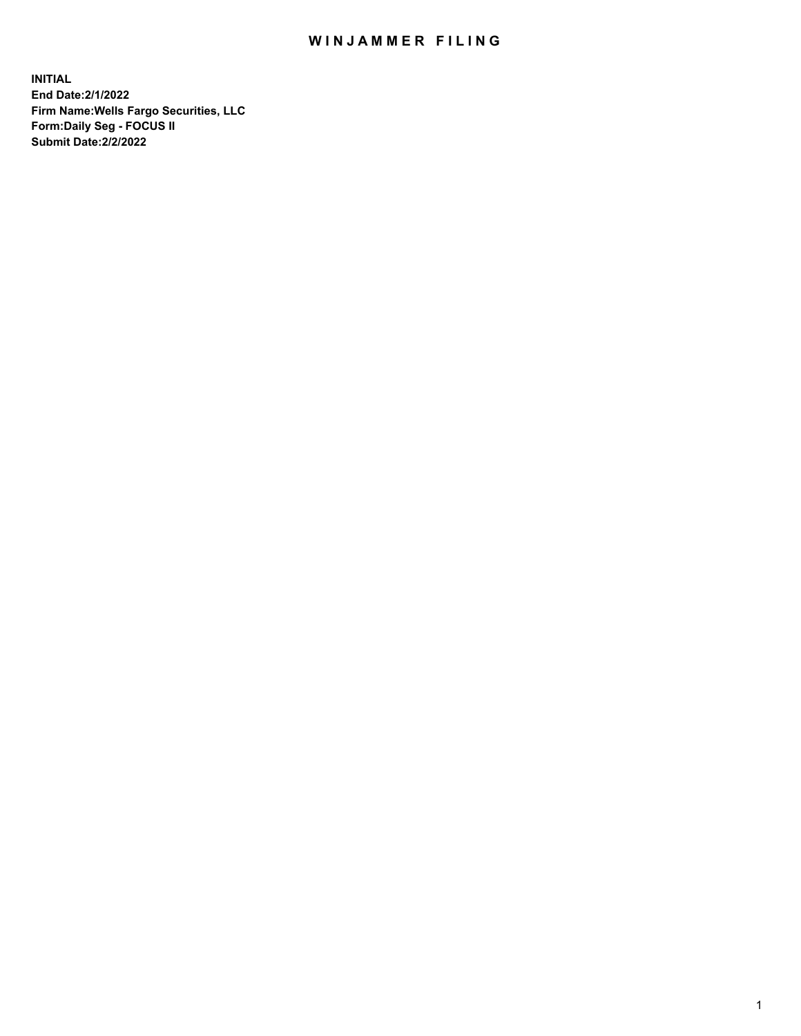## WIN JAMMER FILING

**INITIAL End Date:2/1/2022 Firm Name:Wells Fargo Securities, LLC Form:Daily Seg - FOCUS II Submit Date:2/2/2022**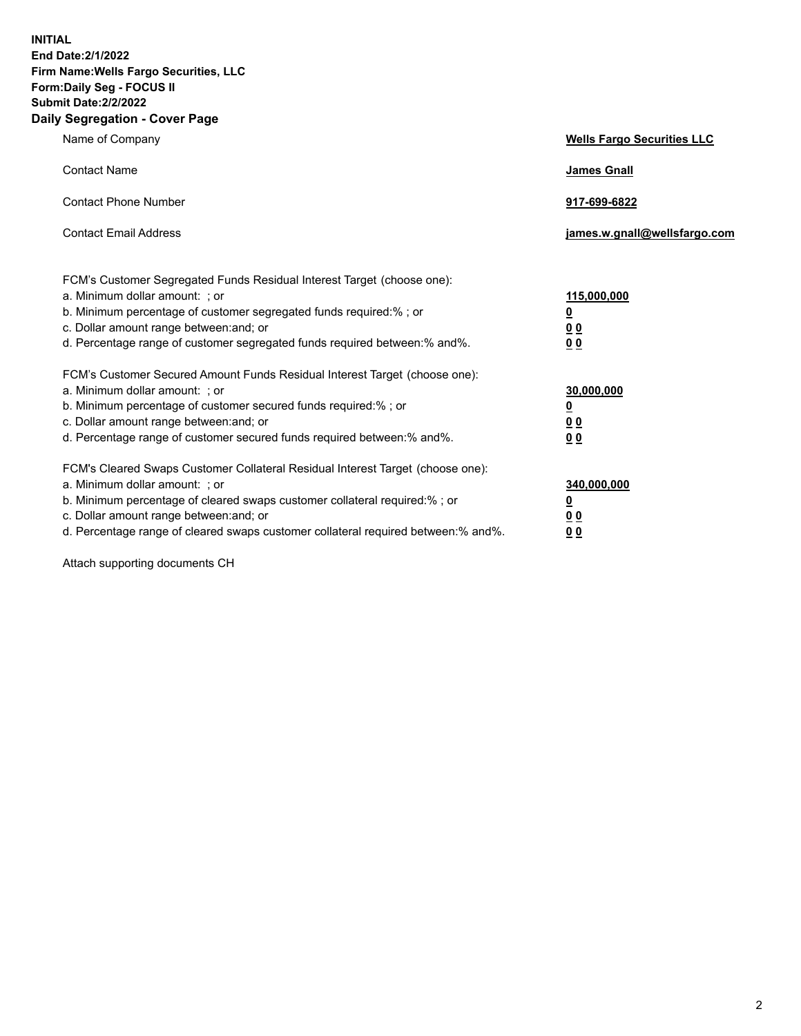**INITIAL End Date:2/1/2022 Firm Name:Wells Fargo Securities, LLC Form:Daily Seg - FOCUS II Submit Date:2/2/2022 Daily Segregation - Cover Page**

| Name of Company                                                                                                                                                                                                                                                                                                                | <b>Wells Fargo Securities LLC</b>              |
|--------------------------------------------------------------------------------------------------------------------------------------------------------------------------------------------------------------------------------------------------------------------------------------------------------------------------------|------------------------------------------------|
| <b>Contact Name</b>                                                                                                                                                                                                                                                                                                            | <b>James Gnall</b>                             |
| <b>Contact Phone Number</b>                                                                                                                                                                                                                                                                                                    | 917-699-6822                                   |
| <b>Contact Email Address</b>                                                                                                                                                                                                                                                                                                   | james.w.gnall@wellsfargo.com                   |
| FCM's Customer Segregated Funds Residual Interest Target (choose one):<br>a. Minimum dollar amount: ; or<br>b. Minimum percentage of customer segregated funds required:% ; or<br>c. Dollar amount range between: and; or                                                                                                      | 115,000,000<br><u>0</u><br>00                  |
| d. Percentage range of customer segregated funds required between:% and%.                                                                                                                                                                                                                                                      | 00                                             |
| FCM's Customer Secured Amount Funds Residual Interest Target (choose one):<br>a. Minimum dollar amount: ; or<br>b. Minimum percentage of customer secured funds required:%; or<br>c. Dollar amount range between: and; or<br>d. Percentage range of customer secured funds required between: % and %.                          | 30,000,000<br><u>0</u><br>00<br>0 <sub>0</sub> |
| FCM's Cleared Swaps Customer Collateral Residual Interest Target (choose one):<br>a. Minimum dollar amount: ; or<br>b. Minimum percentage of cleared swaps customer collateral required:% ; or<br>c. Dollar amount range between: and; or<br>d. Percentage range of cleared swaps customer collateral required between:% and%. | 340,000,000<br><u>0</u><br><u>00</u><br>00     |

Attach supporting documents CH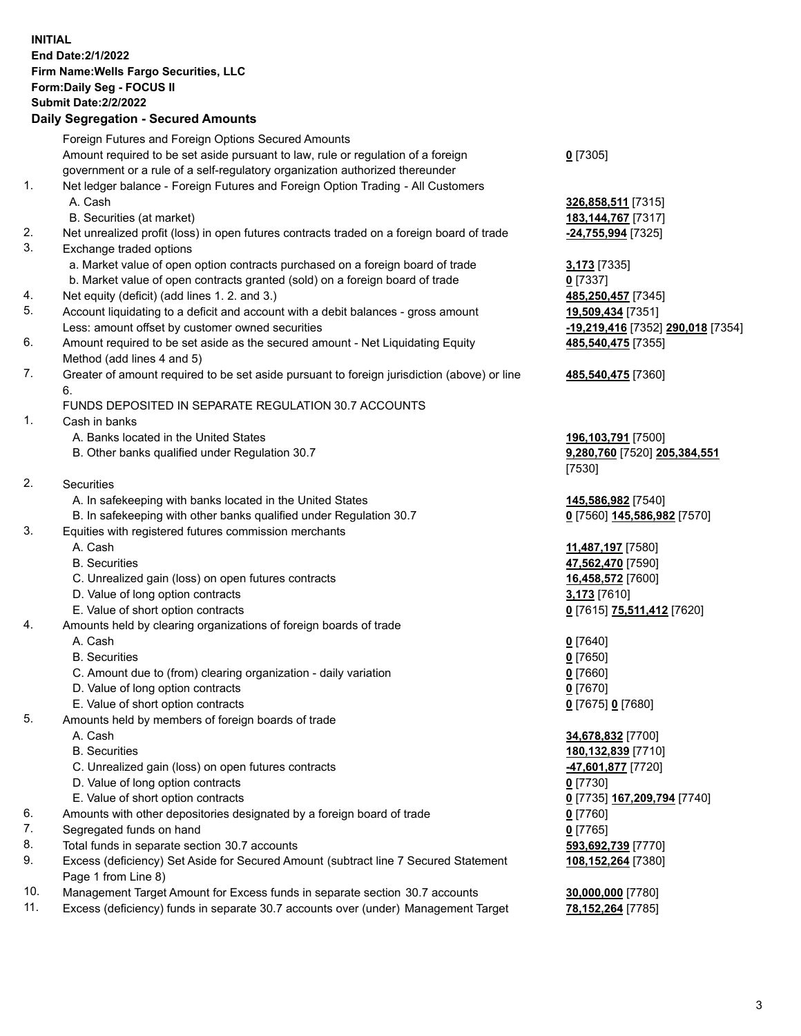**INITIAL End Date:2/1/2022 Firm Name:Wells Fargo Securities, LLC Form:Daily Seg - FOCUS II Submit Date:2/2/2022 Daily Segregation - Secured Amounts**

Foreign Futures and Foreign Options Secured Amounts Amount required to be set aside pursuant to law, rule or regulation of a foreign government or a rule of a self-regulatory organization authorized thereunder **0** [7305] 1. Net ledger balance - Foreign Futures and Foreign Option Trading - All Customers A. Cash **326,858,511** [7315] B. Securities (at market) **183,144,767** [7317] 2. Net unrealized profit (loss) in open futures contracts traded on a foreign board of trade **-24,755,994** [7325] 3. Exchange traded options a. Market value of open option contracts purchased on a foreign board of trade **3,173** [7335] b. Market value of open contracts granted (sold) on a foreign board of trade **0** [7337] 4. Net equity (deficit) (add lines 1. 2. and 3.) **485,250,457** [7345] 5. Account liquidating to a deficit and account with a debit balances - gross amount **19,509,434** [7351] Less: amount offset by customer owned securities **-19,219,416** [7352] **290,018** [7354] 6. Amount required to be set aside as the secured amount - Net Liquidating Equity Method (add lines 4 and 5) **485,540,475** [7355] 7. Greater of amount required to be set aside pursuant to foreign jurisdiction (above) or line 6. **485,540,475** [7360] FUNDS DEPOSITED IN SEPARATE REGULATION 30.7 ACCOUNTS 1. Cash in banks A. Banks located in the United States **196,103,791** [7500] B. Other banks qualified under Regulation 30.7 **9,280,760** [7520] **205,384,551** [7530] 2. Securities A. In safekeeping with banks located in the United States **145,586,982** [7540] B. In safekeeping with other banks qualified under Regulation 30.7 **0** [7560] **145,586,982** [7570] 3. Equities with registered futures commission merchants A. Cash **11,487,197** [7580] B. Securities **47,562,470** [7590] C. Unrealized gain (loss) on open futures contracts **16,458,572** [7600] D. Value of long option contracts **3,173** [7610] E. Value of short option contracts **0** [7615] **75,511,412** [7620] 4. Amounts held by clearing organizations of foreign boards of trade A. Cash **0** [7640] B. Securities **0** [7650] C. Amount due to (from) clearing organization - daily variation **0** [7660] D. Value of long option contracts **0** [7670] E. Value of short option contracts **0** [7675] **0** [7680] 5. Amounts held by members of foreign boards of trade A. Cash **34,678,832** [7700] B. Securities **180,132,839** [7710]

- C. Unrealized gain (loss) on open futures contracts **-47,601,877** [7720]
- D. Value of long option contracts **0** [7730]
- E. Value of short option contracts **0** [7735] **167,209,794** [7740]
- 6. Amounts with other depositories designated by a foreign board of trade **0** [7760]
- 7. Segregated funds on hand **0** [7765]
- 8. Total funds in separate section 30.7 accounts **593,692,739** [7770]
- 9. Excess (deficiency) Set Aside for Secured Amount (subtract line 7 Secured Statement Page 1 from Line 8)
- 10. Management Target Amount for Excess funds in separate section 30.7 accounts **30,000,000** [7780]
- 11. Excess (deficiency) funds in separate 30.7 accounts over (under) Management Target **78,152,264** [7785]

**108,152,264** [7380]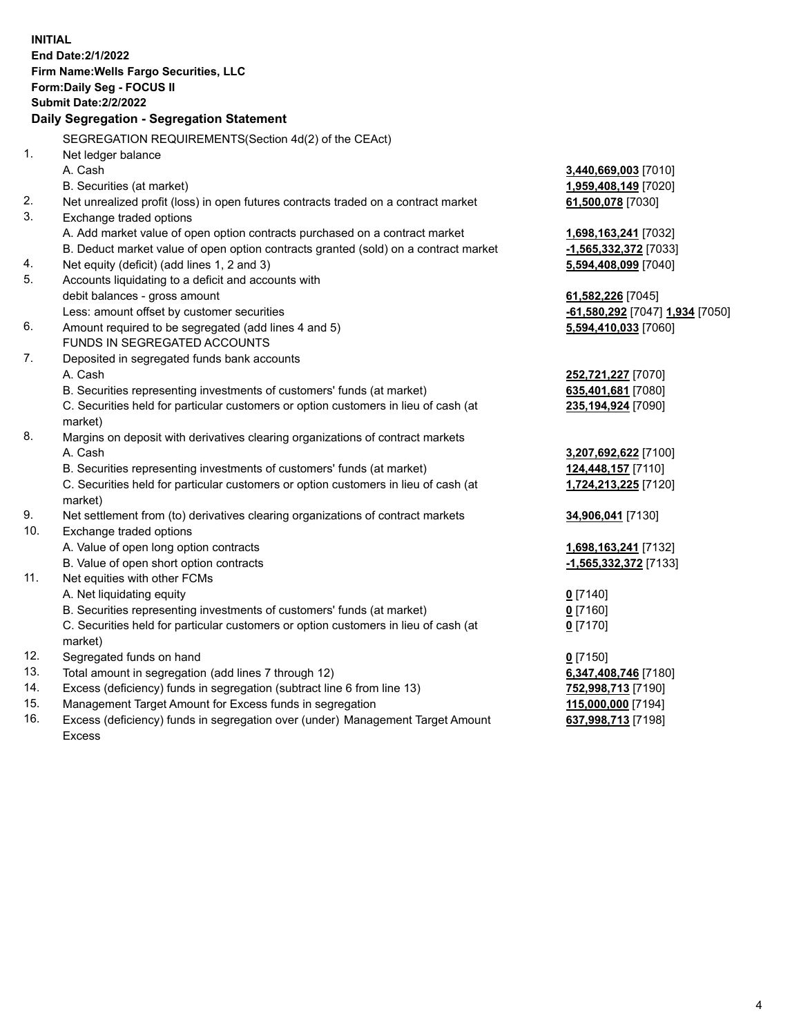**INITIAL End Date:2/1/2022 Firm Name:Wells Fargo Securities, LLC Form:Daily Seg - FOCUS II Submit Date:2/2/2022 Daily Segregation - Segregation Statement** SEGREGATION REQUIREMENTS(Section 4d(2) of the CEAct) 1. Net ledger balance A. Cash **3,440,669,003** [7010] B. Securities (at market) **1,959,408,149** [7020] 2. Net unrealized profit (loss) in open futures contracts traded on a contract market **61,500,078** [7030] 3. Exchange traded options A. Add market value of open option contracts purchased on a contract market **1,698,163,241** [7032] B. Deduct market value of open option contracts granted (sold) on a contract market **-1,565,332,372** [7033] 4. Net equity (deficit) (add lines 1, 2 and 3) **5,594,408,099** [7040] 5. Accounts liquidating to a deficit and accounts with debit balances - gross amount **61,582,226** [7045] Less: amount offset by customer securities **-61,580,292** [7047] **1,934** [7050] 6. Amount required to be segregated (add lines 4 and 5) **5,594,410,033** [7060] FUNDS IN SEGREGATED ACCOUNTS 7. Deposited in segregated funds bank accounts A. Cash **252,721,227** [7070] B. Securities representing investments of customers' funds (at market) **635,401,681** [7080] C. Securities held for particular customers or option customers in lieu of cash (at market) **235,194,924** [7090] 8. Margins on deposit with derivatives clearing organizations of contract markets A. Cash **3,207,692,622** [7100] B. Securities representing investments of customers' funds (at market) **124,448,157** [7110] C. Securities held for particular customers or option customers in lieu of cash (at market) **1,724,213,225** [7120] 9. Net settlement from (to) derivatives clearing organizations of contract markets **34,906,041** [7130] 10. Exchange traded options A. Value of open long option contracts **1,698,163,241** [7132] B. Value of open short option contracts **-1,565,332,372** [7133] 11. Net equities with other FCMs A. Net liquidating equity **0** [7140] B. Securities representing investments of customers' funds (at market) **0** [7160] C. Securities held for particular customers or option customers in lieu of cash (at market) **0** [7170] 12. Segregated funds on hand **0** [7150] 13. Total amount in segregation (add lines 7 through 12) **6,347,408,746** [7180] 14. Excess (deficiency) funds in segregation (subtract line 6 from line 13) **752,998,713** [7190] 15. Management Target Amount for Excess funds in segregation **115,000,000** [7194] 16. Excess (deficiency) funds in segregation over (under) Management Target Amount Excess **637,998,713** [7198]